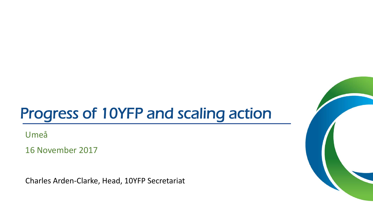## Progress of 10YFP and scaling action

Umeå

16 November 2017

Charles Arden-Clarke, Head, 10YFP Secretariat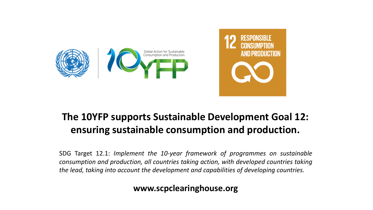



### **The 10YFP supports Sustainable Development Goal 12: ensuring sustainable consumption and production.**

SDG Target 12.1: *Implement the 10-year framework of programmes on sustainable consumption and production, all countries taking action, with developed countries taking the lead, taking into account the development and capabilities of developing countries.*

#### **www.scpclearinghouse.org**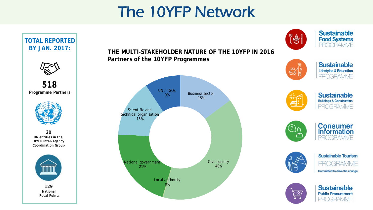## The 10YFP Network

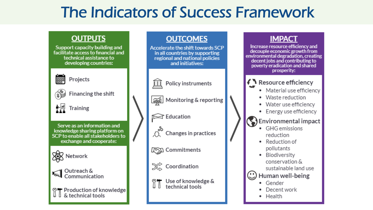## The Indicators of Success Framework

### **OUTPUTS**

Support capacity building and facilitate access to financial and technical assistance to developing countries:



#### Projects



Financing the shift



Serve as an information and knowledge sharing platform on SCP to enable all stakeholders to exchange and cooperate:







Outreach & Communication

& technical tools

#### **OUTCOMES IMPACT** Increase resource efficiency and Accelerate the shift towards SCP decouple economic growth from in all countries by supporting environmental degradation, creating<br>decent jobs and contributing to regional and national policies and initiatives: poverty eradication and shared prosperity: ↑ Resource efficiency īШ **Policy instruments** • Material use efficiency • Waste reduction and Monitoring & reporting • Water use efficiency • Energy use efficiency  $\widehat{\bowtie}$  Education Environmental impact • GHG emissions Changes in practices reduction • Reduction of pollutants **LESSI** Commitments • Biodiversity conservation &  $\chi$  Coordination sustainable land use Human well-being Use of knowledge & • Gender technical tools Decent work • Health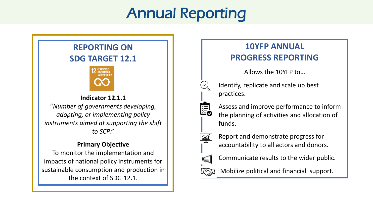## Annual Reporting

### **REPORTING ON SDG TARGET 12.1**



**Indicator 12.1.1** "*Number of governments developing, adopting, or implementing policy instruments aimed at supporting the shift to SCP*."

#### **Primary Objective**

To monitor the implementation and impacts of national policy instruments for sustainable consumption and production in the context of SDG 12.1.

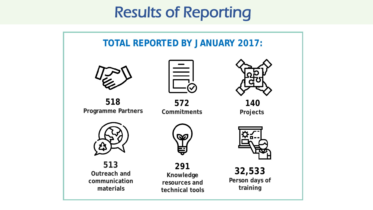## Results of Reporting

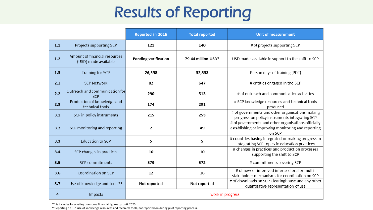# Results of Reporting

|     |                                                       | Reported in 2016            | <b>Total reported</b> | <b>Unit of measurement</b>                                                                                          |
|-----|-------------------------------------------------------|-----------------------------|-----------------------|---------------------------------------------------------------------------------------------------------------------|
| 1.1 | Projects supporting SCP                               | 121                         | 140                   | # of projects supporting SCP                                                                                        |
| 1.2 | Amount of financial resources<br>(USD) made available | <b>Pending verification</b> | 79.44 million USD*    | USD made available in support to the shift to SCP                                                                   |
| 1.3 | Training for SCP                                      | 26,598                      | 32,533                | Person days of training (PDT)                                                                                       |
| 2.1 | <b>SCP Network</b>                                    | 82                          | 647                   | # entities engaged in the SCP                                                                                       |
| 2.2 | Outreach and communication for<br><b>SCP</b>          | 290                         | 513                   | # of outreach and communication activities                                                                          |
| 2.3 | Production of knowledge and<br>technical tools        | 174                         | 291                   | # SCP knowledge resources and technical tools<br>produced                                                           |
| 3.1 | SCP in policy instruments                             | 215                         | 253                   | # of governments and other organisations making<br>progress on policy instruments integrating SCP                   |
| 3.2 | SCP monitoring and reporting                          | $\mathbf{2}$                | 49                    | # of governments and other organisations officially<br>establishing or improving monitoring and reporting<br>on SCP |
| 3.3 | <b>Education to SCP</b>                               | 5                           | 5                     | # countries having integrated or making progress in<br>integrating SCP topics in education practices                |
| 3.4 | SCP changes in practices                              | 10                          | 10                    | # changes in practices and production processes<br>supporting the shift to SCP                                      |
| 3.5 | <b>SCP</b> commitments                                | 379                         | 572                   | # commitments covering SCP                                                                                          |
| 3.6 | Coordination on SCP                                   | 12                          | 16                    | # of new or improved inter-sectoral or multi-<br>stakeholder mechanisms for coordination on SCP                     |
| 3.7 | Use of knowledge and tools**                          | Not reported                | Not reported          | # of downloads on SCP Clearinghouse and any other<br>quantitative representation of use                             |
| 4   | Impacts                                               |                             | work in progress      |                                                                                                                     |

\*This includes forecasting one some financial figures up until 2020.

\*\*Reporting on 3.7: use of knowledge resources and technical tools, not reported on during pilot reporting process.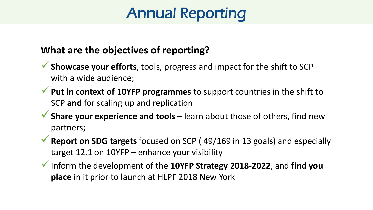## Annual Reporting

### **What are the objectives of reporting?**

- **Showcase your efforts**, tools, progress and impact for the shift to SCP with a wide audience;
- **Put in context of 10YFP programmes** to support countries in the shift to SCP **and** for scaling up and replication
- **Share your experience and tools** learn about those of others, find new partners;
- **Report on SDG targets** focused on SCP ( 49/169 in 13 goals) and especially target 12.1 on 10YFP – enhance your visibility
- Inform the development of the **10YFP Strategy 2018-2022**, and **find you place** in it prior to launch at HLPF 2018 New York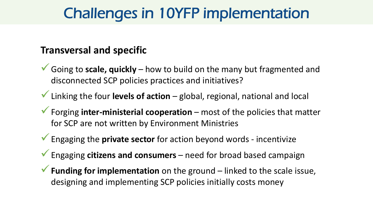## Challenges in 10YFP implementation

### **Transversal and specific**

- Going to **scale, quickly** how to build on the many but fragmented and disconnected SCP policies practices and initiatives?
- Linking the four **levels of action**  global, regional, national and local
- Forging **inter-ministerial cooperation** most of the policies that matter for SCP are not written by Environment Ministries
- Engaging the **private sector** for action beyond words incentivize
- Engaging **citizens and consumers**  need for broad based campaign
- **Funding for implementation** on the ground linked to the scale issue, designing and implementing SCP policies initially costs money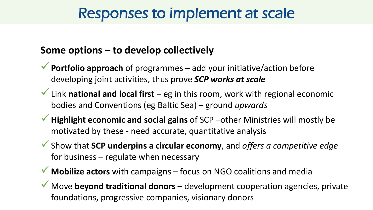### Responses to implement at scale

### **Some options – to develop collectively**

- **Portfolio approach** of programmes add your initiative/action before developing joint activities, thus prove *SCP works at scale*
- Link **national and local first**  eg in this room, work with regional economic bodies and Conventions (eg Baltic Sea) – ground *upwards*
- **Highlight economic and social gains** of SCP –other Ministries will mostly be motivated by these - need accurate, quantitative analysis
- Show that **SCP underpins a circular economy**, and *offers a competitive edge*  for business – regulate when necessary
- **Mobilize actors** with campaigns focus on NGO coalitions and media
- Move **beyond traditional donors** development cooperation agencies, private foundations, progressive companies, visionary donors